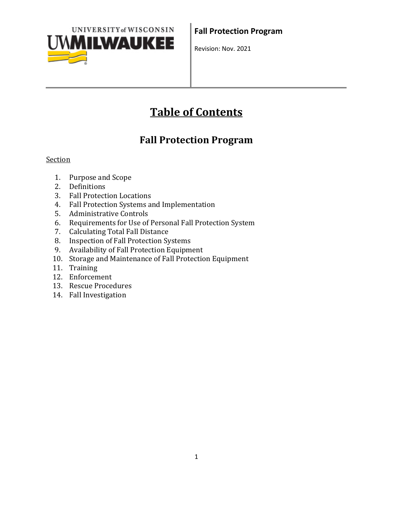

# **Table of Contents**

## **Fall Protection Program**

#### Section

- 1. Purpose and Scope
- 2. Definitions
- 3. Fall Protection Locations
- 4. Fall Protection Systems and Implementation
- 5. Administrative Controls
- 6. Requirements for Use of Personal Fall Protection System
- 7. Calculating Total Fall Distance
- 8. Inspection of Fall Protection Systems
- 9. Availability of Fall Protection Equipment
- 10. Storage and Maintenance of Fall Protection Equipment
- 11. Training
- 12. Enforcement
- 13. Rescue Procedures
- 14. Fall Investigation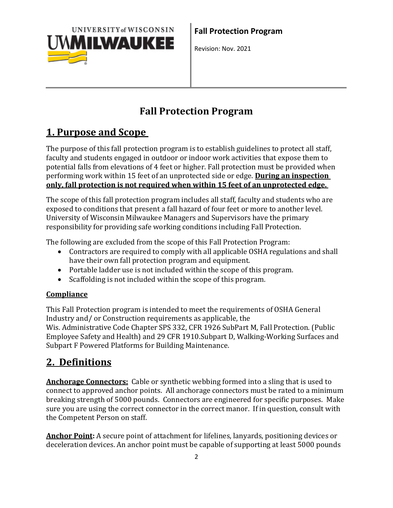

## **Fall Protection Program**

## **1. Purpose and Scope**

The purpose of this fall protection program is to establish guidelines to protect all staff, faculty and students engaged in outdoor or indoor work activities that expose them to potential falls from elevations of 4 feet or higher. Fall protection must be provided when performing work within 15 feet of an unprotected side or edge. **During an inspection only, fall protection is not required when within 15 feet of an unprotected edge.**

The scope of this fall protection program includes all staff, faculty and students who are exposed to conditions that present a fall hazard of four feet or more to another level. University of Wisconsin Milwaukee Managers and Supervisors have the primary responsibility for providing safe working conditions including Fall Protection.

The following are excluded from the scope of this Fall Protection Program:

- Contractors are required to comply with all applicable OSHA regulations and shall have their own fall protection program and equipment.
- Portable ladder use is not included within the scope of this program.
- Scaffolding is not included within the scope of this program.

### **Compliance**

This Fall Protection program is intended to meet the requirements of OSHA General Industry and/ or Construction requirements as applicable, the Wis. Administrative Code Chapter SPS 332, CFR 1926 SubPart M, Fall Protection. (Public Employee Safety and Health) and 29 CFR 1910.Subpart D, Walking-Working Surfaces and Subpart F Powered Platforms for Building Maintenance.

## **2. Definitions**

**Anchorage Connectors:** Cable or synthetic webbing formed into a sling that is used to connect to approved anchor points. All anchorage connectors must be rated to a minimum breaking strength of 5000 pounds. Connectors are engineered for specific purposes. Make sure you are using the correct connector in the correct manor. If in question, consult with the Competent Person on staff.

**Anchor Point:** A secure point of attachment for lifelines, lanyards, positioning devices or deceleration devices. An anchor point must be capable of supporting at least 5000 pounds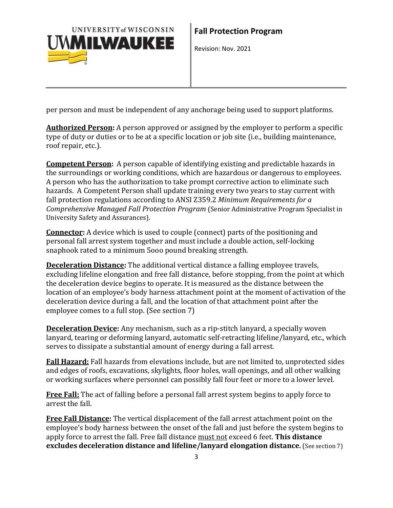

per person and must be independent of any anchorage being used to support platforms.

**Authorized Person:** A person approved or assigned by the employer to perform a specific type of duty or duties or to be at a specific location or job site (i.e., building maintenance, roof repair, etc.).

**Competent Person:** A person capable of identifying existing and predictable hazards in the surroundings or working conditions, which are hazardous or dangerous to employees. A person who has the authorization to take prompt corrective action to eliminate such hazards. A Competent Person shall update training every two years to stay current with fall protection regulations according to ANSI Z359.2 *Minimum Requirements for a Comprehensive Managed Fall Protection Program* (Senior Administrative Program Specialist in University Safety and Assurances).

**Connector:** A device which is used to couple (connect) parts of the positioning and personal fall arrest system together and must include a double action, self-locking snaphook rated to a minimum 5ooo pound breaking strength.

**Deceleration Distance:** The additional vertical distance a falling employee travels, excluding lifeline elongation and free fall distance, before stopping, from the point at which the deceleration device begins to operate. It is measured as the distance between the location of an employee's body harness attachment point at the moment of activation of the deceleration device during a fall, and the location of that attachment point after the employee comes to a full stop. (See section 7)

**Deceleration Device:** Any mechanism, such as a rip-stitch lanyard, a specially woven lanyard, tearing or deforming lanyard, automatic self-retracting lifeline/lanyard, etc., which serves to dissipate a substantial amount of energy during a fall arrest.

**Fall Hazard:** Fall hazards from elevations include, but are not limited to, unprotected sides and edges of roofs, excavations, skylights, floor holes, wall openings, and all other walking or working surfaces where personnel can possibly fall four feet or more to a lower level.

**Free Fall:** The act of falling before a personal fall arrest system begins to apply force to arrest the fall.

**Free Fall Distance:** The vertical displacement of the fall arrest attachment point on the employee's body harness between the onset of the fall and just before the system begins to apply force to arrest the fall. Free fall distance must not exceed 6 feet. **This distance excludes deceleration distance and lifeline/lanyard elongation distance.** (See section 7)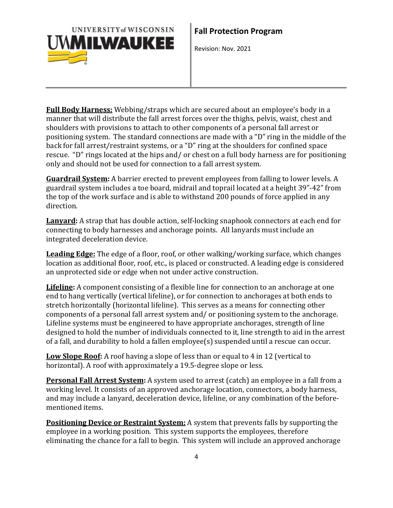

**Full Body Harness:** Webbing/straps which are secured about an employee's body in a manner that will distribute the fall arrest forces over the thighs, pelvis, waist, chest and shoulders with provisions to attach to other components of a personal fall arrest or positioning system. The standard connections are made with a "D" ring in the middle of the back for fall arrest/restraint systems, or a "D" ring at the shoulders for confined space rescue. "D" rings located at the hips and/ or chest on a full body harness are for positioning only and should not be used for connection to a fall arrest system.

**Guardrail System:** A barrier erected to prevent employees from falling to lower levels. A guardrail system includes a toe board, midrail and toprail located at a height 39"-42" from the top of the work surface and is able to withstand 200 pounds of force applied in any direction.

**Lanyard:** A strap that has double action, self-locking snaphook connectors at each end for connecting to body harnesses and anchorage points. All lanyards must include an integrated deceleration device.

**Leading Edge:** The edge of a floor, roof, or other walking/working surface, which changes location as additional floor, roof, etc., is placed or constructed. A leading edge is considered an unprotected side or edge when not under active construction.

**Lifeline:** A component consisting of a flexible line for connection to an anchorage at one end to hang vertically (vertical lifeline), or for connection to anchorages at both ends to stretch horizontally (horizontal lifeline). This serves as a means for connecting other components of a personal fall arrest system and/ or positioning system to the anchorage. Lifeline systems must be engineered to have appropriate anchorages, strength of line designed to hold the number of individuals connected to it, line strength to aid in the arrest of a fall, and durability to hold a fallen employee(s) suspended until a rescue can occur.

**Low Slope Roof:** A roof having a slope of less than or equal to 4 in 12 (vertical to horizontal). A roof with approximately a 19.5-degree slope or less.

**Personal Fall Arrest System:** A system used to arrest (catch) an employee in a fall from a working level. It consists of an approved anchorage location, connectors, a body harness, and may include a lanyard, deceleration device, lifeline, or any combination of the beforementioned items.

**Positioning Device or Restraint System:** A system that prevents falls by supporting the employee in a working position. This system supports the employees, therefore eliminating the chance for a fall to begin. This system will include an approved anchorage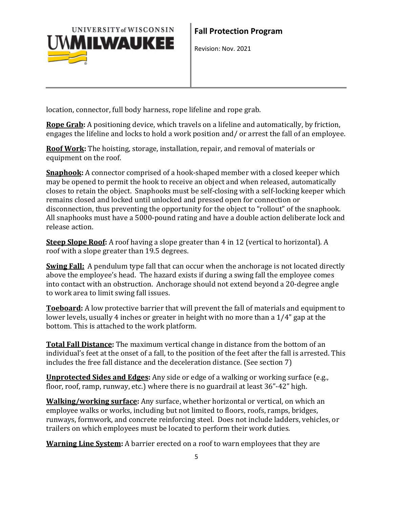

location, connector, full body harness, rope lifeline and rope grab.

**Rope Grab:** A positioning device, which travels on a lifeline and automatically, by friction, engages the lifeline and locks to hold a work position and/ or arrest the fall of an employee.

**Roof Work:** The hoisting, storage, installation, repair, and removal of materials or equipment on the roof.

**Snaphook:** A connector comprised of a hook-shaped member with a closed keeper which may be opened to permit the hook to receive an object and when released, automatically closes to retain the object. Snaphooks must be self-closing with a self-locking keeper which remains closed and locked until unlocked and pressed open for connection or disconnection, thus preventing the opportunity for the object to "rollout" of the snaphook. All snaphooks must have a 5000-pound rating and have a double action deliberate lock and release action.

**Steep Slope Roof:** A roof having a slope greater than 4 in 12 (vertical to horizontal). A roof with a slope greater than 19.5 degrees.

**Swing Fall:** A pendulum type fall that can occur when the anchorage is not located directly above the employee's head. The hazard exists if during a swing fall the employee comes into contact with an obstruction. Anchorage should not extend beyond a 20-degree angle to work area to limit swing fall issues.

**Toeboard:** A low protective barrier that will prevent the fall of materials and equipment to lower levels, usually 4 inches or greater in height with no more than a 1/4" gap at the bottom. This is attached to the work platform.

**Total Fall Distance:** The maximum vertical change in distance from the bottom of an individual's feet at the onset of a fall, to the position of the feet after the fall is arrested. This includes the free fall distance and the deceleration distance. (See section 7)

**Unprotected Sides and Edges:** Any side or edge of a walking or working surface (e.g., floor, roof, ramp, runway, etc.) where there is no guardrail at least 36"-42" high.

**Walking/working surface:** Any surface, whether horizontal or vertical, on which an employee walks or works, including but not limited to floors, roofs, ramps, bridges, runways, formwork, and concrete reinforcing steel. Does not include ladders, vehicles, or trailers on which employees must be located to perform their work duties.

**Warning Line System:** A barrier erected on a roof to warn employees that they are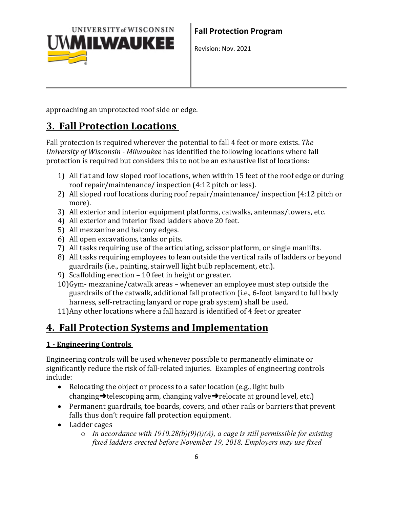

approaching an unprotected roof side or edge.

### **3. Fall Protection Locations**

Fall protection is required wherever the potential to fall 4 feet or more exists. *The University of Wisconsin - Milwaukee* has identified the following locations where fall protection is required but considers this to not be an exhaustive list of locations:

- 1) All flat and low sloped roof locations, when within 15 feet of the roof edge or during roof repair/maintenance/ inspection (4:12 pitch or less).
- 2) All sloped roof locations during roof repair/maintenance/ inspection (4:12 pitch or more).
- 3) All exterior and interior equipment platforms, catwalks, antennas/towers, etc.
- 4) All exterior and interior fixed ladders above 20 feet.
- 5) All mezzanine and balcony edges.
- 6) All open excavations, tanks or pits.
- 7) All tasks requiring use of the articulating, scissor platform, or single manlifts.
- 8) All tasks requiring employees to lean outside the vertical rails of ladders or beyond guardrails (i.e., painting, stairwell light bulb replacement, etc.).
- 9) Scaffolding erection 10 feet in height or greater.
- 10)Gym- mezzanine/catwalk areas whenever an employee must step outside the guardrails of the catwalk, additional fall protection (i.e., 6-foot lanyard to full body harness, self-retracting lanyard or rope grab system) shall be used.
- 11)Any other locations where a fall hazard is identified of 4 feet or greater

## **4. Fall Protection Systems and Implementation**

### **1 - Engineering Controls**

Engineering controls will be used whenever possible to permanently eliminate or significantly reduce the risk of fall-related injuries. Examples of engineering controls include:

- Relocating the object or process to a safer location (e.g., light bulb changing $\rightarrow$ telescoping arm, changing valve $\rightarrow$ relocate at ground level, etc.)
- Permanent guardrails, toe boards, covers, and other rails or barriers that prevent falls thus don't require fall protection equipment.
- Ladder cages
	- o *In accordance with 1910.28(b)(9)(i)(A), a cage is still permissible for existing fixed ladders erected before November 19, 2018. Employers may use fixed*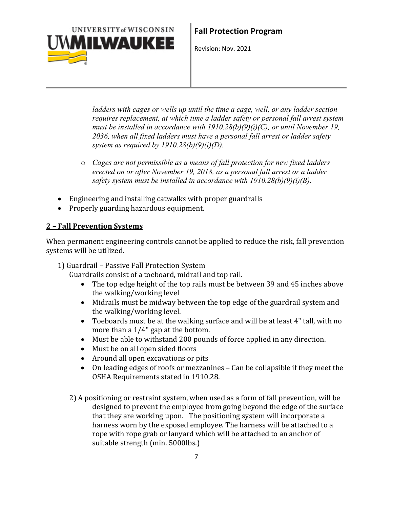

*ladders with cages or wells up until the time a cage, well, or any ladder section requires replacement, at which time a ladder safety or personal fall arrest system must be installed in accordance with 1910.28(b)(9)(i)(C), or until November 19, 2036, when all fixed ladders must have a personal fall arrest or ladder safety system as required by 1910.28(b)(9)(i)(D).*

- o *Cages are not permissible as a means of fall protection for new fixed ladders erected on or after November 19, 2018, as a personal fall arrest or a ladder safety system must be installed in accordance with 1910.28(b)(9)(i)(B).*
- Engineering and installing catwalks with proper guardrails
- Properly guarding hazardous equipment.

#### **2 – Fall Prevention Systems**

When permanent engineering controls cannot be applied to reduce the risk, fall prevention systems will be utilized.

1) Guardrail – Passive Fall Protection System

Guardrails consist of a toeboard, midrail and top rail.<br>• The top edge height of the top rails must be be

- The top edge height of the top rails must be between 39 and 45 inches above the walking/working level
- Midrails must be midway between the top edge of the guardrail system and the walking/working level.
- Toeboards must be at the walking surface and will be at least 4" tall, with no more than a 1/4" gap at the bottom.
- Must be able to withstand 200 pounds of force applied in any direction.
- Must be on all open sided floors
- Around all open excavations or pits
- On leading edges of roofs or mezzanines Can be collapsible if they meet the OSHA Requirements stated in 1910.28.
- 2) A positioning or restraint system, when used as a form of fall prevention, will be designed to prevent the employee from going beyond the edge of the surface that they are working upon. The positioning system will incorporate a harness worn by the exposed employee. The harness will be attached to a rope with rope grab or lanyard which will be attached to an anchor of suitable strength (min. 5000lbs.)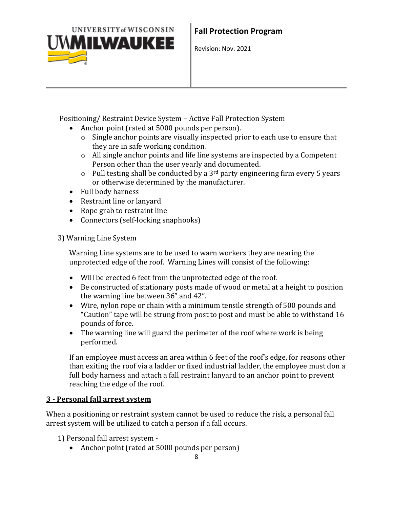

Positioning/ Restraint Device System – Active Fall Protection System

- Anchor point (rated at 5000 pounds per person).
	- o Single anchor points are visually inspected prior to each use to ensure that they are in safe working condition.
	- o All single anchor points and life line systems are inspected by a Competent Person other than the user yearly and documented.
	- $\circ$  Pull testing shall be conducted by a 3<sup>rd</sup> party engineering firm every 5 years or otherwise determined by the manufacturer.
- Full body harness
- Restraint line or lanyard
- Rope grab to restraint line
- Connectors (self-locking snaphooks)
- 3) Warning Line System

Warning Line systems are to be used to warn workers they are nearing the unprotected edge of the roof. Warning Lines will consist of the following:

- Will be erected 6 feet from the unprotected edge of the roof.
- Be constructed of stationary posts made of wood or metal at a height to position the warning line between 36" and 42".
- Wire, nylon rope or chain with a minimum tensile strength of 500 pounds and "Caution" tape will be strung from post to post and must be able to withstand 16 pounds of force.
- The warning line will guard the perimeter of the roof where work is being performed.

If an employee must access an area within 6 feet of the roof's edge, for reasons other than exiting the roof via a ladder or fixed industrial ladder, the employee must don a full body harness and attach a fall restraint lanyard to an anchor point to prevent reaching the edge of the roof.

#### **3 - Personal fall arrest system**

When a positioning or restraint system cannot be used to reduce the risk, a personal fall arrest system will be utilized to catch a person if a fall occurs.

1) Personal fall arrest system -

• Anchor point (rated at 5000 pounds per person)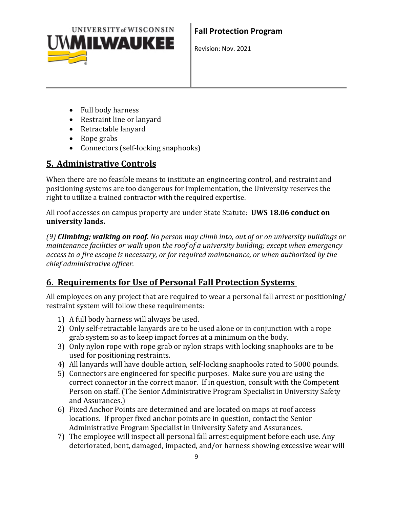

- Full body harness
- Restraint line or lanyard
- Retractable lanyard
- Rope grabs
- Connectors (self-locking snaphooks)

### **5. Administrative Controls**

When there are no feasible means to institute an engineering control, and restraint and positioning systems are too dangerous for implementation, the University reserves the right to utilize a trained contractor with the required expertise.

All roof accesses on campus property are under State Statute: **UWS 18.06 conduct on university lands.**

*(9) Climbing; walking on roof. No person may climb into, out of or on university buildings or maintenance facilities or walk upon the roof of a university building; except when emergency access to a fire escape is necessary, or for required maintenance, or when authorized by the chief administrative officer.*

### **6. Requirements for Use of Personal Fall Protection Systems**

All employees on any project that are required to wear a personal fall arrest or positioning/ restraint system will follow these requirements:

- 1) A full body harness will always be used.
- 2) Only self-retractable lanyards are to be used alone or in conjunction with a rope grab system so as to keep impact forces at a minimum on the body.
- 3) Only nylon rope with rope grab or nylon straps with locking snaphooks are to be used for positioning restraints.
- 4) All lanyards will have double action, self-locking snaphooks rated to 5000 pounds.
- 5) Connectors are engineered for specific purposes. Make sure you are using the correct connector in the correct manor. If in question, consult with the Competent Person on staff. (The Senior Administrative Program Specialist in University Safety and Assurances.)
- 6) Fixed Anchor Points are determined and are located on maps at roof access locations. If proper fixed anchor points are in question, contact the Senior Administrative Program Specialist in University Safety and Assurances.
- 7) The employee will inspect all personal fall arrest equipment before each use. Any deteriorated, bent, damaged, impacted, and/or harness showing excessive wear will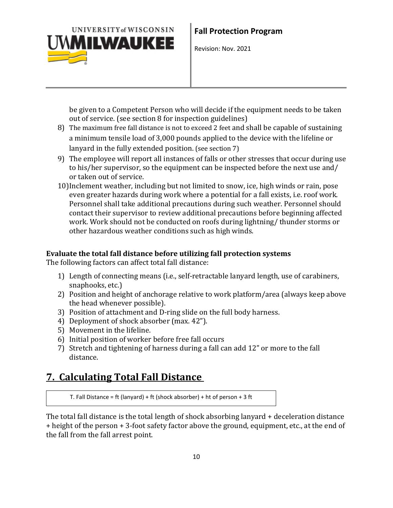

be given to a Competent Person who will decide if the equipment needs to be taken out of service. (see section 8 for inspection guidelines)

- 8) The maximum free fall distance is not to exceed 2 feet and shall be capable of sustaining a minimum tensile load of 3,000 pounds applied to the device with the lifeline or lanyard in the fully extended position. (see section 7)
- 9) The employee will report all instances of falls or other stresses that occur during use to his/her supervisor, so the equipment can be inspected before the next use and/ or taken out of service.
- 10)Inclement weather, including but not limited to snow, ice, high winds or rain, pose even greater hazards during work where a potential for a fall exists, i.e. roof work. Personnel shall take additional precautions during such weather. Personnel should contact their supervisor to review additional precautions before beginning affected work. Work should not be conducted on roofs during lightning/ thunder storms or other hazardous weather conditions such as high winds.

#### **Evaluate the total fall distance before utilizing fall protection systems**

The following factors can affect total fall distance:

- 1) Length of connecting means (i.e., self-retractable lanyard length, use of carabiners, snaphooks, etc.)
- 2) Position and height of anchorage relative to work platform/area (always keep above the head whenever possible).
- 3) Position of attachment and D-ring slide on the full body harness.
- 4) Deployment of shock absorber (max. 42").
- 5) Movement in the lifeline.
- 6) Initial position of worker before free fall occurs
- 7) Stretch and tightening of harness during a fall can add 12" or more to the fall distance.

## **7. Calculating Total Fall Distance**

T. Fall Distance = ft (lanyard) + ft (shock absorber) + ht of person + 3 ft

The total fall distance is the total length of shock absorbing lanyard + deceleration distance + height of the person + 3-foot safety factor above the ground, equipment, etc., at the end of the fall from the fall arrest point.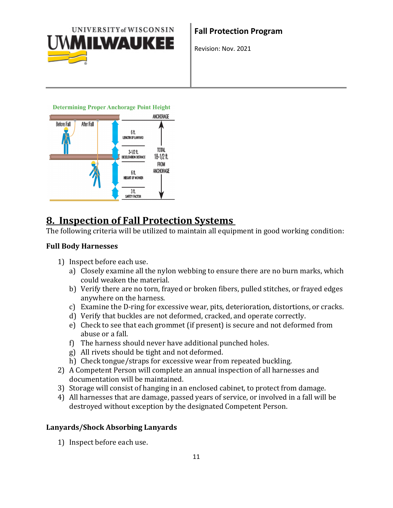

**Determining Proper Anchorage Point Height** 



### **8. Inspection of Fall Protection Systems**

The following criteria will be utilized to maintain all equipment in good working condition:

#### **Full Body Harnesses**

- 1) Inspect before each use.
	- a) Closely examine all the nylon webbing to ensure there are no burn marks, which could weaken the material.
	- b) Verify there are no torn, frayed or broken fibers, pulled stitches, or frayed edges anywhere on the harness.
	- c) Examine the D-ring for excessive wear, pits, deterioration, distortions, or cracks.
	- d) Verify that buckles are not deformed, cracked, and operate correctly.
	- e) Check to see that each grommet (if present) is secure and not deformed from abuse or a fall.
	- f) The harness should never have additional punched holes.
	- g) All rivets should be tight and not deformed.
	- h) Check tongue/straps for excessive wear from repeated buckling.
- 2) A Competent Person will complete an annual inspection of all harnesses and documentation will be maintained.
- 3) Storage will consist of hanging in an enclosed cabinet, to protect from damage.
- 4) All harnesses that are damage, passed years of service, or involved in a fall will be destroyed without exception by the designated Competent Person.

#### **Lanyards/Shock Absorbing Lanyards**

1) Inspect before each use.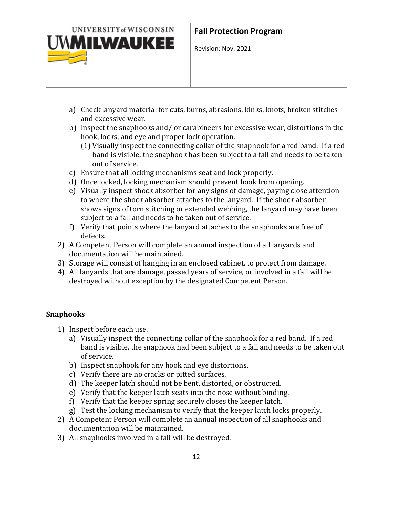

- a) Check lanyard material for cuts, burns, abrasions, kinks, knots, broken stitches and excessive wear.
- b) Inspect the snaphooks and/ or carabineers for excessive wear, distortions in the hook, locks, and eye and proper lock operation.
	- (1) Visually inspect the connecting collar of the snaphook for a red band. If a red band is visible, the snaphook has been subject to a fall and needs to be taken out of service.
- c) Ensure that all locking mechanisms seat and lock properly.
- d) Once locked, locking mechanism should prevent hook from opening.
- e) Visually inspect shock absorber for any signs of damage, paying close attention to where the shock absorber attaches to the lanyard. If the shock absorber shows signs of torn stitching or extended webbing, the lanyard may have been subject to a fall and needs to be taken out of service.
- f) Verify that points where the lanyard attaches to the snaphooks are free of defects.
- 2) A Competent Person will complete an annual inspection of all lanyards and documentation will be maintained.
- 3) Storage will consist of hanging in an enclosed cabinet, to protect from damage.
- 4) All lanyards that are damage, passed years of service, or involved in a fall will be destroyed without exception by the designated Competent Person.

#### **Snaphooks**

- 1) Inspect before each use.
	- a) Visually inspect the connecting collar of the snaphook for a red band. If a red band is visible, the snaphook had been subject to a fall and needs to be taken out of service.
	- b) Inspect snaphook for any hook and eye distortions.
	- c) Verify there are no cracks or pitted surfaces.
	- d) The keeper latch should not be bent, distorted, or obstructed.
	- e) Verify that the keeper latch seats into the nose without binding.
	- f) Verify that the keeper spring securely closes the keeper latch.
	- g) Test the locking mechanism to verify that the keeper latch locks properly.
- 2) A Competent Person will complete an annual inspection of all snaphooks and documentation will be maintained.
- 3) All snaphooks involved in a fall will be destroyed.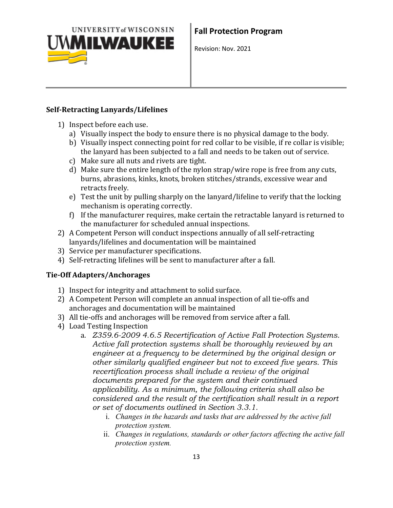

#### **Self-Retracting Lanyards/Lifelines**

- 1) Inspect before each use.
	- a) Visually inspect the body to ensure there is no physical damage to the body.
	- b) Visually inspect connecting point for red collar to be visible, if re collar is visible; the lanyard has been subjected to a fall and needs to be taken out of service.
	- c) Make sure all nuts and rivets are tight.
	- d) Make sure the entire length of the nylon strap/wire rope is free from any cuts, burns, abrasions, kinks, knots, broken stitches/strands, excessive wear and retracts freely.
	- e) Test the unit by pulling sharply on the lanyard/lifeline to verify that the locking mechanism is operating correctly.
	- f) If the manufacturer requires, make certain the retractable lanyard is returned to the manufacturer for scheduled annual inspections.
- 2) A Competent Person will conduct inspections annually of all self-retracting lanyards/lifelines and documentation will be maintained
- 3) Service per manufacturer specifications.
- 4) Self-retracting lifelines will be sent to manufacturer after a fall.

#### **Tie-Off Adapters/Anchorages**

- 1) Inspect for integrity and attachment to solid surface.
- 2) A Competent Person will complete an annual inspection of all tie-offs and anchorages and documentation will be maintained
- 3) All tie-offs and anchorages will be removed from service after a fall.
- 4) Load Testing Inspection
	- a. *Z359.6-2009 4.6.5 Recertification of Active Fall Protection Systems. Active fall protection systems shall be thoroughly reviewed by an engineer at a frequency to be determined by the original design or other similarly qualified engineer but not to exceed five years. This recertification process shall include a review of the original documents prepared for the system and their continued applicability. As a minimum, the following criteria shall also be considered and the result of the certification shall result in a report or set of documents outlined in Section 3.3.1.*
		- i. *Changes in the hazards and tasks that are addressed by the active fall protection system.*
		- ii. *Changes in regulations, standards or other factors affecting the active fall protection system.*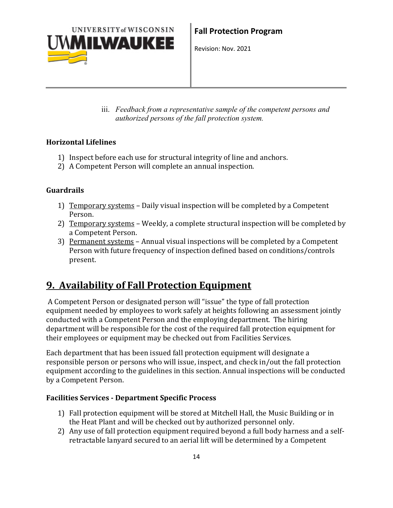

iii. *Feedback from a representative sample of the competent persons and authorized persons of the fall protection system.*

#### **Horizontal Lifelines**

- 1) Inspect before each use for structural integrity of line and anchors.
- 2) A Competent Person will complete an annual inspection.

#### **Guardrails**

- 1) Temporary systems Daily visual inspection will be completed by a Competent Person.
- 2) Temporary systems Weekly, a complete structural inspection will be completed by a Competent Person.
- 3) Permanent systems Annual visual inspections will be completed by a Competent Person with future frequency of inspection defined based on conditions/controls present.

## **9. Availability of Fall Protection Equipment**

A Competent Person or designated person will "issue" the type of fall protection equipment needed by employees to work safely at heights following an assessment jointly conducted with a Competent Person and the employing department. The hiring department will be responsible for the cost of the required fall protection equipment for their employees or equipment may be checked out from Facilities Services.

Each department that has been issued fall protection equipment will designate a responsible person or persons who will issue, inspect, and check in/out the fall protection equipment according to the guidelines in this section. Annual inspections will be conducted by a Competent Person.

#### **Facilities Services - Department Specific Process**

- 1) Fall protection equipment will be stored at Mitchell Hall, the Music Building or in the Heat Plant and will be checked out by authorized personnel only.
- 2) Any use of fall protection equipment required beyond a full body harness and a selfretractable lanyard secured to an aerial lift will be determined by a Competent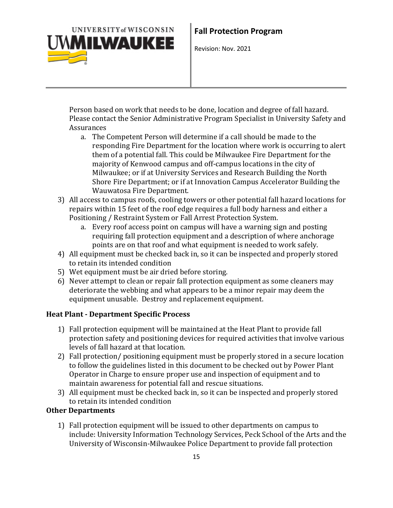

Person based on work that needs to be done, location and degree of fall hazard. Please contact the Senior Administrative Program Specialist in University Safety and Assurances

- a. The Competent Person will determine if a call should be made to the responding Fire Department for the location where work is occurring to alert them of a potential fall. This could be Milwaukee Fire Department for the majority of Kenwood campus and off-campus locations in the city of Milwaukee; or if at University Services and Research Building the North Shore Fire Department; or if at Innovation Campus Accelerator Building the Wauwatosa Fire Department.
- 3) All access to campus roofs, cooling towers or other potential fall hazard locations for repairs within 15 feet of the roof edge requires a full body harness and either a Positioning / Restraint System or Fall Arrest Protection System.
	- a. Every roof access point on campus will have a warning sign and posting requiring fall protection equipment and a description of where anchorage points are on that roof and what equipment is needed to work safely.
- 4) All equipment must be checked back in, so it can be inspected and properly stored to retain its intended condition
- 5) Wet equipment must be air dried before storing.
- 6) Never attempt to clean or repair fall protection equipment as some cleaners may deteriorate the webbing and what appears to be a minor repair may deem the equipment unusable. Destroy and replacement equipment.

#### **Heat Plant - Department Specific Process**

- 1) Fall protection equipment will be maintained at the Heat Plant to provide fall protection safety and positioning devices for required activities that involve various levels of fall hazard at that location.
- 2) Fall protection/ positioning equipment must be properly stored in a secure location to follow the guidelines listed in this document to be checked out by Power Plant Operator in Charge to ensure proper use and inspection of equipment and to maintain awareness for potential fall and rescue situations.
- 3) All equipment must be checked back in, so it can be inspected and properly stored to retain its intended condition

#### **Other Departments**

1) Fall protection equipment will be issued to other departments on campus to include: University Information Technology Services, Peck School of the Arts and the University of Wisconsin-Milwaukee Police Department to provide fall protection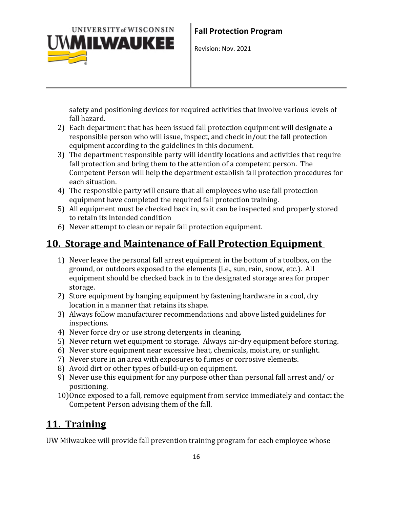

safety and positioning devices for required activities that involve various levels of fall hazard.

- 2) Each department that has been issued fall protection equipment will designate a responsible person who will issue, inspect, and check in/out the fall protection equipment according to the guidelines in this document.
- 3) The department responsible party will identify locations and activities that require fall protection and bring them to the attention of a competent person. The Competent Person will help the department establish fall protection procedures for each situation.
- 4) The responsible party will ensure that all employees who use fall protection equipment have completed the required fall protection training.
- 5) All equipment must be checked back in, so it can be inspected and properly stored to retain its intended condition
- 6) Never attempt to clean or repair fall protection equipment.

### **10. Storage and Maintenance of Fall Protection Equipment**

- 1) Never leave the personal fall arrest equipment in the bottom of a toolbox, on the ground, or outdoors exposed to the elements (i.e., sun, rain, snow, etc.). All equipment should be checked back in to the designated storage area for proper storage.
- 2) Store equipment by hanging equipment by fastening hardware in a cool, dry location in a manner that retains its shape.
- 3) Always follow manufacturer recommendations and above listed guidelines for inspections.
- 4) Never force dry or use strong detergents in cleaning.
- 5) Never return wet equipment to storage. Always air-dry equipment before storing.
- 6) Never store equipment near excessive heat, chemicals, moisture, or sunlight.
- 7) Never store in an area with exposures to fumes or corrosive elements.
- 8) Avoid dirt or other types of build-up on equipment.
- 9) Never use this equipment for any purpose other than personal fall arrest and/ or positioning.
- 10)Once exposed to a fall, remove equipment from service immediately and contact the Competent Person advising them of the fall.

## **11. Training**

UW Milwaukee will provide fall prevention training program for each employee whose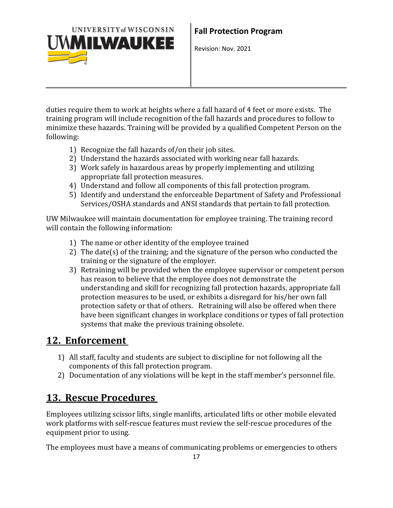

duties require them to work at heights where a fall hazard of 4 feet or more exists. The training program will include recognition of the fall hazards and procedures to follow to minimize these hazards. Training will be provided by a qualified Competent Person on the following:

- 1) Recognize the fall hazards of/on their job sites.
- 2) Understand the hazards associated with working near fall hazards.
- 3) Work safely in hazardous areas by properly implementing and utilizing appropriate fall protection measures.
- 4) Understand and follow all components of this fall protection program.
- 5) Identify and understand the enforceable Department of Safety and Professional Services/OSHA standards and ANSI standards that pertain to fall protection.

UW Milwaukee will maintain documentation for employee training. The training record will contain the following information:

- 1) The name or other identity of the employee trained
- 2) The date(s) of the training; and the signature of the person who conducted the training or the signature of the employer.
- 3) Retraining will be provided when the employee supervisor or competent person has reason to believe that the employee does not demonstrate the understanding and skill for recognizing fall protection hazards, appropriate fall protection measures to be used, or exhibits a disregard for his/her own fall protection safety or that of others. Retraining will also be offered when there have been significant changes in workplace conditions or types of fall protection systems that make the previous training obsolete.

### **12. Enforcement**

- 1) All staff, faculty and students are subject to discipline for not following all the components of this fall protection program.
- 2) Documentation of any violations will be kept in the staff member's personnel file.

### **13. Rescue Procedures**

Employees utilizing scissor lifts, single manlifts, articulated lifts or other mobile elevated work platforms with self-rescue features must review the self-rescue procedures of the equipment prior to using.

The employees must have a means of communicating problems or emergencies to others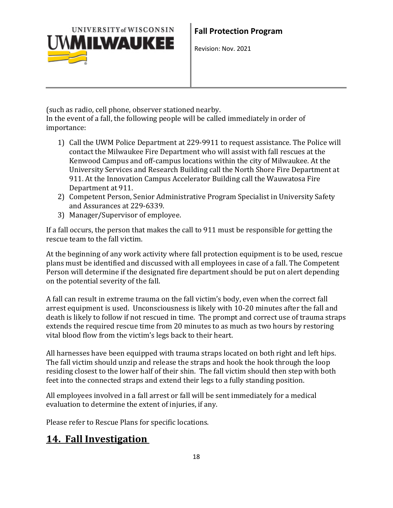

(such as radio, cell phone, observer stationed nearby.

In the event of a fall, the following people will be called immediately in order of importance:

- 1) Call the UWM Police Department at 229-9911 to request assistance. The Police will contact the Milwaukee Fire Department who will assist with fall rescues at the Kenwood Campus and off-campus locations within the city of Milwaukee. At the University Services and Research Building call the North Shore Fire Department at 911. At the Innovation Campus Accelerator Building call the Wauwatosa Fire Department at 911.
- 2) Competent Person, Senior Administrative Program Specialist in University Safety and Assurances at 229-6339.
- 3) Manager/Supervisor of employee.

If a fall occurs, the person that makes the call to 911 must be responsible for getting the rescue team to the fall victim.

At the beginning of any work activity where fall protection equipment is to be used, rescue plans must be identified and discussed with all employees in case of a fall. The Competent Person will determine if the designated fire department should be put on alert depending on the potential severity of the fall.

A fall can result in extreme trauma on the fall victim's body, even when the correct fall arrest equipment is used. Unconsciousness is likely with 10-20 minutes after the fall and death is likely to follow if not rescued in time. The prompt and correct use of trauma straps extends the required rescue time from 20 minutes to as much as two hours by restoring vital blood flow from the victim's legs back to their heart.

All harnesses have been equipped with trauma straps located on both right and left hips. The fall victim should unzip and release the straps and hook the hook through the loop residing closest to the lower half of their shin. The fall victim should then step with both feet into the connected straps and extend their legs to a fully standing position.

All employees involved in a fall arrest or fall will be sent immediately for a medical evaluation to determine the extent of injuries, if any.

Please refer to Rescue Plans for specific locations.

## **14. Fall Investigation**